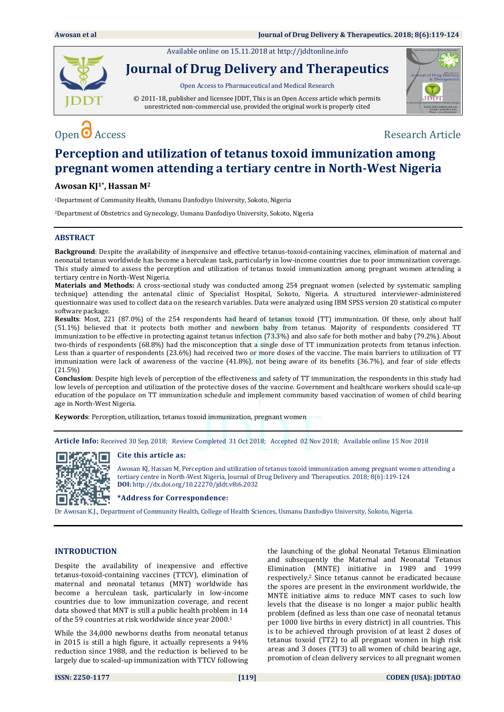Available online on 15.11.2018 a[t http://jddtonline.info](http://jddtonline.info/)



**Journal of Drug Delivery and Therapeutics**

Open Access to Pharmaceutical and Medical Research

© 2011-18, publisher and licensee JDDT, This is an Open Access article which permits unrestricted non-commercial use, provided the original work is properly cited



Open O Access Research Article

# **Perception and utilization of tetanus toxoid immunization among pregnant women attending a tertiary centre in North-West Nigeria**

# **Awosan KJ1\*, Hassan M<sup>2</sup>**

<sup>1</sup>Department of Community Health, Usmanu Danfodiyo University, Sokoto, Nigeria

<sup>2</sup>Department of Obstetrics and Gynecology, Usmanu Danfodiyo University, Sokoto, Nigeria

# **ABSTRACT**

**Background**: Despite the availability of inexpensive and effective tetanus-toxoid-containing vaccines, elimination of maternal and neonatal tetanus worldwide has become a herculean task, particularly in low-income countries due to poor immunization coverage. This study aimed to assess the perception and utilization of tetanus toxoid immunization among pregnant women attending a tertiary centre in North-West Nigeria.

**Materials and Methods:** A cross-sectional study was conducted among 254 pregnant women (selected by systematic sampling technique) attending the antenatal clinic of Specialist Hospital, Sokoto, Nigeria. A structured interviewer-administered questionnaire was used to collect data on the research variables. Data were analyzed using IBM SPSS version 20 statistical computer software package.

**Results**: Most, 221 (87.0%) of the 254 respondents had heard of tetanus toxoid (TT) immunization. Of these, only about half (51.1%) believed that it protects both mother and newborn baby from tetanus. Majority of respondents considered TT immunization to be effective in protecting against tetanus infection (73.3%) and also safe for both mother and baby (79.2%). About two-thirds of respondents (68.8%) had the misconception that a single dose of TT immunization protects from tetanus infection. Less than a quarter of respondents (23.6%) had received two or more doses of the vaccine. The main barriers to utilization of TT immunization were lack of awareness of the vaccine (41.8%), not being aware of its benefits (36.7%), and fear of side effects (21.5%)

**Conclusion**: Despite high levels of perception of the effectiveness and safety of TT immunization, the respondents in this study had low levels of perception and utilization of the protective doses of the vaccine. Government and healthcare workers should scale-up education of the populace on TT immunization schedule and implement community based vaccination of women of child bearing age in North-West Nigeria.

**Keywords**: Perception, utilization, tetanus toxoid immunization, pregnant women

**Article Info:** Received 30 Sep, 2018; Review Completed 31 Oct 2018; Accepted 02 Nov 2018; Available online 15 Nov 2018

# **Cite this article as:**



Awosan KJ, Hassan M, Perception and utilization of tetanus toxoid immunization among pregnant women attending a tertiary centre in North-West Nigeria, Journal of Drug Delivery and Therapeutics. 2018; 8(6):119-124 **DOI:** <http://dx.doi.org/10.22270/jddt.v8i6.2032>

**\*Address for Correspondence:** 

Dr Awosan K.J., Department of Community Health, College of Health Sciences, Usmanu Danfodiyo University, Sokoto, Nigeria.

# **INTRODUCTION**

Despite the availability of inexpensive and effective tetanus-toxoid-containing vaccines (TTCV), elimination of maternal and neonatal tetanus (MNT) worldwide has become a herculean task, particularly in low-income countries due to low immunization coverage, and recent data showed that MNT is still a public health problem in 14 of the 59 countries at risk worldwide since year 2000.<sup>1</sup>

While the 34,000 newborns deaths from neonatal tetanus in 2015 is still a high figure, it actually represents a 94% reduction since 1988, and the reduction is believed to be largely due to scaled-up immunization with TTCV following the launching of the global Neonatal Tetanus Elimination and subsequently the Maternal and Neonatal Tetanus Elimination (MNTE) initiative in 1989 and 1999 respectively.<sup>2</sup> Since tetanus cannot be eradicated because the spores are present in the environment worldwide, the MNTE initiative aims to reduce MNT cases to such low levels that the disease is no longer a major public health problem (defined as less than one case of neonatal tetanus per 1000 live births in every district) in all countries. This is to be achieved through provision of at least 2 doses of tetanus toxoid (TT2) to all pregnant women in high risk areas and 3 doses (TT3) to all women of child bearing age, promotion of clean delivery services to all pregnant women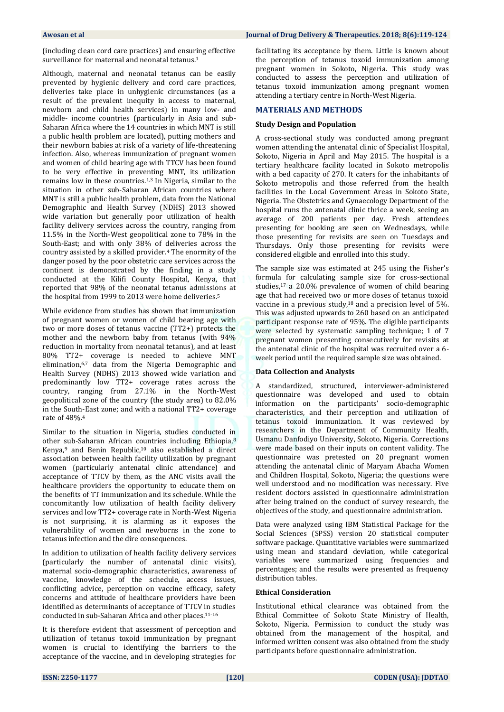(including clean cord care practices) and ensuring effective surveillance for maternal and neonatal tetanus.<sup>1</sup>

Although, maternal and neonatal tetanus can be easily prevented by hygienic delivery and cord care practices, deliveries take place in unhygienic circumstances (as a result of the prevalent inequity in access to maternal, newborn and child health services) in many low- and middle- income countries (particularly in Asia and sub-Saharan Africa where the 14 countries in which MNT is still a public health problem are located), putting mothers and their newborn babies at risk of a variety of life-threatening infection. Also, whereas immunization of pregnant women and women of child bearing age with TTCV has been found to be very effective in preventing MNT, its utilization remains low in these countries.1,3 In Nigeria, similar to the situation in other sub-Saharan African countries where MNT is still a public health problem, data from the National Demographic and Health Survey (NDHS) 2013 showed wide variation but generally poor utilization of health facility delivery services across the country, ranging from 11.5% in the North-West geopolitical zone to 78% in the South-East; and with only 38% of deliveries across the country assisted by a skilled provider.<sup>4</sup> The enormity of the danger posed by the poor obstetric care services across the continent is demonstrated by the finding in a study conducted at the Kilifi County Hospital, Kenya, that reported that 98% of the neonatal tetanus admissions at the hospital from 1999 to 2013 were home deliveries.<sup>5</sup>

While evidence from studies has shown that immunization of pregnant women or women of child bearing age with two or more doses of tetanus vaccine (TT2+) protects the mother and the newborn baby from tetanus (with 94% reduction in mortality from neonatal tetanus), and at least 80% TT2+ coverage is needed to achieve MNT elimination,6,7 data from the Nigeria Demographic and Health Survey (NDHS) 2013 showed wide variation and predominantly low TT2+ coverage rates across the country, ranging from 27.1% in the North-West geopolitical zone of the country (the study area) to 82.0% in the South-East zone; and with a national TT2+ coverage rate of 48%.<sup>4</sup>

Similar to the situation in Nigeria, studies conducted in other sub-Saharan African countries including Ethiopia,<sup>8</sup> Kenya,<sup>9</sup> and Benin Republic,<sup>10</sup> also established a direct association between health facility utilization by pregnant women (particularly antenatal clinic attendance) and acceptance of TTCV by them, as the ANC visits avail the healthcare providers the opportunity to educate them on the benefits of TT immunization and its schedule. While the concomitantly low utilization of health facility delivery services and low TT2+ coverage rate in North-West Nigeria is not surprising, it is alarming as it exposes the vulnerability of women and newborns in the zone to tetanus infection and the dire consequences.

In addition to utilization of health facility delivery services (particularly the number of antenatal clinic visits), maternal socio-demographic characteristics, awareness of vaccine, knowledge of the schedule, access issues, conflicting advice, perception on vaccine efficacy, safety concerns and attitude of healthcare providers have been identified as determinants of acceptance of TTCV in studies conducted in sub-Saharan Africa and other places.11-16

It is therefore evident that assessment of perception and utilization of tetanus toxoid immunization by pregnant women is crucial to identifying the barriers to the acceptance of the vaccine, and in developing strategies for

#### **Awosan et al Journal of Drug Delivery & Therapeutics. 2018; 8(6):119-124**

facilitating its acceptance by them. Little is known about the perception of tetanus toxoid immunization among pregnant women in Sokoto, Nigeria. This study was conducted to assess the perception and utilization of tetanus toxoid immunization among pregnant women attending a tertiary centre in North-West Nigeria.

# **MATERIALS AND METHODS**

# **Study Design and Population**

A cross-sectional study was conducted among pregnant women attending the antenatal clinic of Specialist Hospital, Sokoto, Nigeria in April and May 2015. The hospital is a tertiary healthcare facility located in Sokoto metropolis with a bed capacity of 270. It caters for the inhabitants of Sokoto metropolis and those referred from the health facilities in the Local Government Areas in Sokoto State, Nigeria. The Obstetrics and Gynaecology Department of the hospital runs the antenatal clinic thrice a week, seeing an average of 200 patients per day. Fresh attendees presenting for booking are seen on Wednesdays, while those presenting for revisits are seen on Tuesdays and Thursdays. Only those presenting for revisits were considered eligible and enrolled into this study.

The sample size was estimated at 245 using the Fisher's formula for calculating sample size for cross-sectional studies,<sup>17</sup> a 20.0% prevalence of women of child bearing age that had received two or more doses of tetanus toxoid vaccine in a previous study, $18$  and a precision level of 5%. This was adjusted upwards to 260 based on an anticipated participant response rate of 95%. The eligible participants were selected by systematic sampling technique; 1 of 7 pregnant women presenting consecutively for revisits at the antenatal clinic of the hospital was recruited over a 6 week period until the required sample size was obtained.

# **Data Collection and Analysis**

A standardized, structured, interviewer-administered questionnaire was developed and used to obtain information on the participants' socio-demographic characteristics, and their perception and utilization of tetanus toxoid immunization. It was reviewed by researchers in the Department of Community Health, Usmanu Danfodiyo University, Sokoto, Nigeria. Corrections were made based on their inputs on content validity. The questionnaire was pretested on 20 pregnant women attending the antenatal clinic of Maryam Abacha Women and Children Hospital, Sokoto, Nigeria; the questions were well understood and no modification was necessary. Five resident doctors assisted in questionnaire administration after being trained on the conduct of survey research, the objectives of the study, and questionnaire administration.

Data were analyzed using IBM Statistical Package for the Social Sciences (SPSS) version 20 statistical computer software package. Quantitative variables were summarized using mean and standard deviation, while categorical variables were summarized using frequencies and percentages; and the results were presented as frequency distribution tables.

# **Ethical Consideration**

Institutional ethical clearance was obtained from the Ethical Committee of Sokoto State Ministry of Health, Sokoto, Nigeria. Permission to conduct the study was obtained from the management of the hospital, and informed written consent was also obtained from the study participants before questionnaire administration.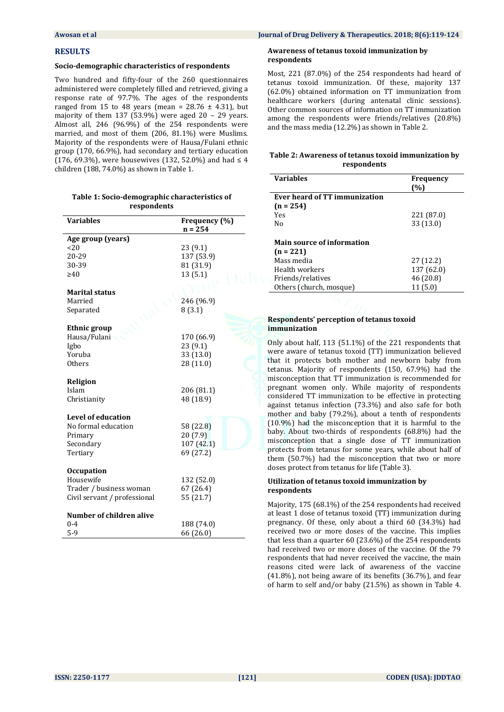#### **Awosan et al Journal of Drug Delivery & Therapeutics. 2018; 8(6):119-124**

#### **RESULTS**

#### **Socio-demographic characteristics of respondents**

Two hundred and fifty-four of the 260 questionnaires administered were completely filled and retrieved, giving a response rate of 97.7%. The ages of the respondents ranged from 15 to 48 years (mean =  $28.76 \pm 4.31$ ), but majority of them 137 (53.9%) were aged  $20 - 29$  years. Almost all, 246 (96.9%) of the 254 respondents were married, and most of them (206, 81.1%) were Muslims. Majority of the respondents were of Hausa/Fulani ethnic group (170, 66.9%), had secondary and tertiary education (176, 69.3%), were housewives (132, 52.0%) and had  $\leq 4$ children (188, 74.0%) as shown in Table 1.

#### **Table 1: Socio-demographic characteristics of respondents**

| <b>Variables</b>             | Frequency (%) |  |  |
|------------------------------|---------------|--|--|
| Age group (years)            | $n = 254$     |  |  |
| 20                           | 23 (9.1)      |  |  |
| 20-29                        | 137 (53.9)    |  |  |
| 30-39                        | 81 (31.9)     |  |  |
| $\geq 40$                    | 13(5.1)       |  |  |
|                              |               |  |  |
| <b>Marital status</b>        |               |  |  |
| Married                      | 246 (96.9)    |  |  |
| Separated                    | 8(3.1)        |  |  |
|                              |               |  |  |
| <b>Ethnic group</b>          |               |  |  |
| Hausa/Fulani                 | 170 (66.9)    |  |  |
| Igbo                         | 23 (9.1)      |  |  |
| Yoruba                       | 33 (13.0)     |  |  |
| <b>Others</b>                | 28 (11.0)     |  |  |
|                              |               |  |  |
| Religion                     |               |  |  |
| Islam                        | 206 (81.1)    |  |  |
| Christianity                 | 48 (18.9)     |  |  |
|                              |               |  |  |
| <b>Level of education</b>    |               |  |  |
| No formal education          | 58 (22.8)     |  |  |
| Primary                      | 20(7.9)       |  |  |
| Secondary                    | 107 (42.1)    |  |  |
| Tertiary                     | 69 (27.2)     |  |  |
| <b>Occupation</b>            |               |  |  |
| Housewife                    | 132 (52.0)    |  |  |
| Trader / business woman      | 67 (26.4)     |  |  |
| Civil servant / professional | 55 (21.7)     |  |  |
|                              |               |  |  |
| Number of children alive     |               |  |  |
| $0 - 4$                      | 188 (74.0)    |  |  |
| $5-9$                        | 66 (26.0)     |  |  |

#### **Awareness of tetanus toxoid immunization by respondents**

Most, 221 (87.0%) of the 254 respondents had heard of tetanus toxoid immunization. Of these, majority 137 (62.0%) obtained information on TT immunization from healthcare workers (during antenatal clinic sessions). Other common sources of information on TT immunization among the respondents were friends/relatives (20.8%) and the mass media (12.2%) as shown in Table 2.

### **Table 2: Awareness of tetanus toxoid immunization by respondents**

| <b>Variables</b>                  | <b>Frequency</b> |
|-----------------------------------|------------------|
|                                   | (%)              |
| Ever heard of TT immunization     |                  |
| $(n = 254)$                       |                  |
| Yes                               | 221 (87.0)       |
| No                                | 33 (13.0)        |
|                                   |                  |
| <b>Main source of information</b> |                  |
| $(n = 221)$                       |                  |
| Mass media                        | 27 (12.2)        |
| Health workers                    | 137 (62.0)       |
| Friends/relatives                 | 46 (20.8)        |
| Others (church, mosque)           | 11(5.0)          |

# **Respondents' perception of tetanus toxoid immunization**

Only about half, 113 (51.1%) of the 221 respondents that were aware of tetanus toxoid (TT) immunization believed that it protects both mother and newborn baby from tetanus. Majority of respondents (150, 67.9%) had the misconception that TT immunization is recommended for pregnant women only. While majority of respondents considered TT immunization to be effective in protecting against tetanus infection (73.3%) and also safe for both mother and baby (79.2%), about a tenth of respondents (10.9%) had the misconception that it is harmful to the baby. About two-thirds of respondents (68.8%) had the misconception that a single dose of TT immunization protects from tetanus for some years, while about half of them (50.7%) had the misconception that two or more doses protect from tetanus for life (Table 3).

#### **Utilization of tetanus toxoid immunization by respondents**

Majority, 175 (68.1%) of the 254 respondents had received at least 1 dose of tetanus toxoid (TT) immunization during pregnancy. Of these, only about a third 60 (34.3%) had received two or more doses of the vaccine. This implies that less than a quarter 60 (23.6%) of the 254 respondents had received two or more doses of the vaccine. Of the 79 respondents that had never received the vaccine, the main reasons cited were lack of awareness of the vaccine (41.8%), not being aware of its benefits (36.7%), and fear of harm to self and/or baby (21.5%) as shown in Table 4.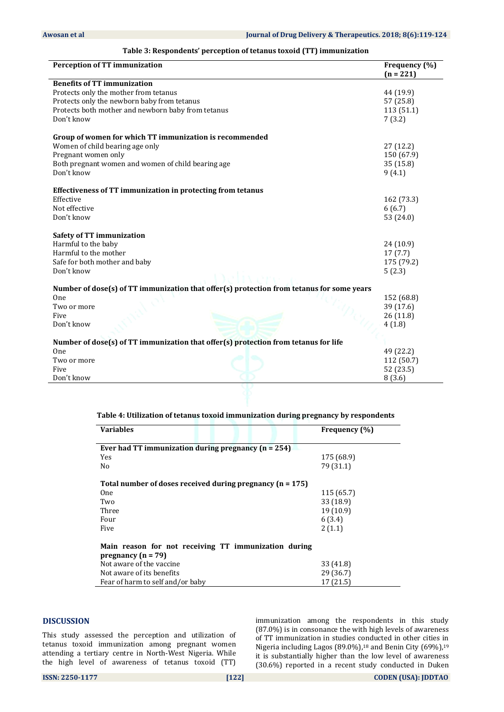| <b>Perception of TT immunization</b>                                                      | Frequency (%) |  |  |
|-------------------------------------------------------------------------------------------|---------------|--|--|
|                                                                                           | $(n = 221)$   |  |  |
| <b>Benefits of TT immunization</b>                                                        |               |  |  |
| Protects only the mother from tetanus                                                     | 44 (19.9)     |  |  |
| Protects only the newborn baby from tetanus                                               | 57 (25.8)     |  |  |
| Protects both mother and newborn baby from tetanus                                        | 113 (51.1)    |  |  |
| Don't know                                                                                | 7(3.2)        |  |  |
| Group of women for which TT immunization is recommended                                   |               |  |  |
| Women of child bearing age only                                                           | 27(12.2)      |  |  |
| Pregnant women only                                                                       | 150 (67.9)    |  |  |
| Both pregnant women and women of child bearing age                                        | 35(15.8)      |  |  |
| Don't know                                                                                | 9(4.1)        |  |  |
| Effectiveness of TT immunization in protecting from tetanus                               |               |  |  |
| Effective                                                                                 | 162 (73.3)    |  |  |
| Not effective                                                                             | 6(6.7)        |  |  |
| Don't know                                                                                | 53 (24.0)     |  |  |
|                                                                                           |               |  |  |
| <b>Safety of TT immunization</b>                                                          |               |  |  |
| Harmful to the baby                                                                       | 24(10.9)      |  |  |
| Harmful to the mother                                                                     | 17(7.7)       |  |  |
| Safe for both mother and baby                                                             | 175 (79.2)    |  |  |
| Don't know                                                                                | 5(2.3)        |  |  |
| Number of dose(s) of TT immunization that offer(s) protection from tetanus for some years |               |  |  |
| One                                                                                       | 152 (68.8)    |  |  |
| Two or more                                                                               | 39 (17.6)     |  |  |
| Five                                                                                      | 26 (11.8)     |  |  |
| Don't know                                                                                | 4(1.8)        |  |  |
| Number of dose(s) of TT immunization that offer(s) protection from tetanus for life       |               |  |  |
| One                                                                                       | 49 (22.2)     |  |  |
| Two or more                                                                               | 112 (50.7)    |  |  |
| Five                                                                                      | 52 (23.5)     |  |  |
| Don't know                                                                                | 8(3.6)        |  |  |
|                                                                                           |               |  |  |

# **Table 3: Respondents' perception of tetanus toxoid (TT) immunization**

# **Table 4: Utilization of tetanus toxoid immunization during pregnancy by respondents**

| <b>Variables</b>                                                               |  | Frequency (%) |  |  |
|--------------------------------------------------------------------------------|--|---------------|--|--|
|                                                                                |  |               |  |  |
| Ever had TT immunization during pregnancy $(n = 254)$                          |  |               |  |  |
| Yes                                                                            |  | 175 (68.9)    |  |  |
| No                                                                             |  | 79 (31.1)     |  |  |
| Total number of doses received during pregnancy $(n = 175)$                    |  |               |  |  |
| <b>One</b>                                                                     |  | 115 (65.7)    |  |  |
| Two                                                                            |  | 33 (18.9)     |  |  |
| Three                                                                          |  | 19 (10.9)     |  |  |
| Four                                                                           |  | 6(3.4)        |  |  |
| Five                                                                           |  | 2(1.1)        |  |  |
| Main reason for not receiving TT immunization during<br>pregnancy ( $n = 79$ ) |  |               |  |  |
| Not aware of the vaccine                                                       |  | 33 (41.8)     |  |  |
| Not aware of its benefits                                                      |  | 29 (36.7)     |  |  |
| Fear of harm to self and/or baby                                               |  | 17(21.5)      |  |  |

#### **DISCUSSION**

This study assessed the perception and utilization of tetanus toxoid immunization among pregnant women attending a tertiary centre in North-West Nigeria. While the high level of awareness of tetanus toxoid (TT)

immunization among the respondents in this study (87.0%) is in consonance the with high levels of awareness of TT immunization in studies conducted in other cities in Nigeria including Lagos (89.0%), <sup>18</sup> and Benin City (69%),<sup>19</sup> it is substantially higher than the low level of awareness (30.6%) reported in a recent study conducted in Duken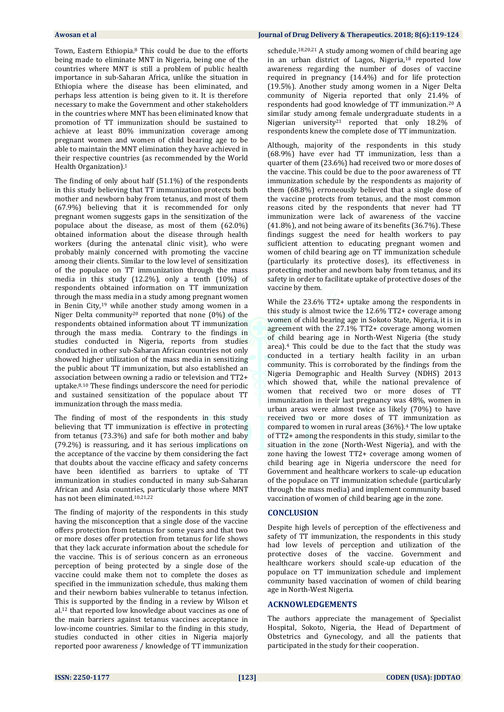Town, Eastern Ethiopia.<sup>8</sup> This could be due to the efforts being made to eliminate MNT in Nigeria, being one of the countries where MNT is still a problem of public health importance in sub-Saharan Africa, unlike the situation in Ethiopia where the disease has been eliminated, and perhaps less attention is being given to it. It is therefore necessary to make the Government and other stakeholders in the countries where MNT has been eliminated know that promotion of TT immunization should be sustained to achieve at least 80% immunization coverage among pregnant women and women of child bearing age to be able to maintain the MNT elimination they have achieved in their respective countries (as recommended by the World Health Organization).<sup>1</sup>

The finding of only about half (51.1%) of the respondents in this study believing that TT immunization protects both mother and newborn baby from tetanus, and most of them (67.9%) believing that it is recommended for only pregnant women suggests gaps in the sensitization of the populace about the disease, as most of them (62.0%) obtained information about the disease through health workers (during the antenatal clinic visit), who were probably mainly concerned with promoting the vaccine among their clients. Similar to the low level of sensitization of the populace on TT immunization through the mass media in this study (12.2%), only a tenth (10%) of respondents obtained information on TT immunization through the mass media in a study among pregnant women in Benin City,<sup>19</sup> while another study among women in a Niger Delta community<sup>20</sup> reported that none  $(0\%)$  of the respondents obtained information about TT immunization through the mass media. Contrary to the findings in studies conducted in Nigeria, reports from studies conducted in other sub-Saharan African countries not only showed higher utilization of the mass media in sensitizing the public about TT immunization, but also established an association between owning a radio or television and TT2+ uptake.8,10 These findings underscore the need for periodic and sustained sensitization of the populace about TT immunization through the mass media.

The finding of most of the respondents in this study believing that TT immunization is effective in protecting from tetanus (73.3%) and safe for both mother and baby (79.2%) is reassuring, and it has serious implications on the acceptance of the vaccine by them considering the fact that doubts about the vaccine efficacy and safety concerns have been identified as barriers to uptake of TT immunization in studies conducted in many sub-Saharan African and Asia countries, particularly those where MNT has not been eliminated.10,21,22

The finding of majority of the respondents in this study having the misconception that a single dose of the vaccine offers protection from tetanus for some years and that two or more doses offer protection from tetanus for life shows that they lack accurate information about the schedule for the vaccine. This is of serious concern as an erroneous perception of being protected by a single dose of the vaccine could make them not to complete the doses as specified in the immunization schedule, thus making them and their newborn babies vulnerable to tetanus infection. This is supported by the finding in a review by Wilson et al. <sup>12</sup> that reported low knowledge about vaccines as one of the main barriers against tetanus vaccines acceptance in low-income countries. Similar to the finding in this study, studies conducted in other cities in Nigeria majorly reported poor awareness / knowledge of TT immunization

#### **Awosan et al Journal of Drug Delivery & Therapeutics. 2018; 8(6):119-124**

schedule.18,20,21 A study among women of child bearing age in an urban district of Lagos, Nigeria,<sup>18</sup> reported low awareness regarding the number of doses of vaccine required in pregnancy (14.4%) and for life protection (19.5%). Another study among women in a Niger Delta community of Nigeria reported that only 21.4% of respondents had good knowledge of TT immunization.<sup>20</sup> A similar study among female undergraduate students in a Nigerian university<sup>21</sup> reported that only 18.2% of respondents knew the complete dose of TT immunization.

Although, majority of the respondents in this study (68.9%) have ever had TT immunization, less than a quarter of them (23.6%) had received two or more doses of the vaccine. This could be due to the poor awareness of TT immunization schedule by the respondents as majority of them (68.8%) erroneously believed that a single dose of the vaccine protects from tetanus, and the most common reasons cited by the respondents that never had TT immunization were lack of awareness of the vaccine (41.8%), and not being aware of its benefits (36.7%). These findings suggest the need for health workers to pay sufficient attention to educating pregnant women and women of child bearing age on TT immunization schedule (particularly its protective doses), its effectiveness in protecting mother and newborn baby from tetanus, and its safety in order to facilitate uptake of protective doses of the vaccine by them.

While the 23.6% TT2+ uptake among the respondents in this study is almost twice the 12.6% TT2+ coverage among women of child bearing age in Sokoto State, Nigeria, it is in agreement with the 27.1% TT2+ coverage among women of child bearing age in North-West Nigeria (the study area).<sup>4</sup> This could be due to the fact that the study was conducted in a tertiary health facility in an urban community. This is corroborated by the findings from the Nigeria Demographic and Health Survey (NDHS) 2013 which showed that, while the national prevalence of women that received two or more doses of TT immunization in their last pregnancy was 48%, women in urban areas were almost twice as likely (70%) to have received two or more doses of TT immunization as compared to women in rural areas (36%).<sup>4</sup> The low uptake of TT2+ among the respondents in this study, similar to the situation in the zone (North-West Nigeria), and with the zone having the lowest TT2+ coverage among women of child bearing age in Nigeria underscore the need for Government and healthcare workers to scale-up education of the populace on TT immunization schedule (particularly through the mass media) and implement community based vaccination of women of child bearing age in the zone.

#### **CONCLUSION**

Despite high levels of perception of the effectiveness and safety of TT immunization, the respondents in this study had low levels of perception and utilization of the protective doses of the vaccine. Government and healthcare workers should scale-up education of the populace on TT immunization schedule and implement community based vaccination of women of child bearing age in North-West Nigeria.

#### **ACKNOWLEDGEMENTS**

The authors appreciate the management of Specialist Hospital, Sokoto, Nigeria, the Head of Department of Obstetrics and Gynecology, and all the patients that participated in the study for their cooperation.